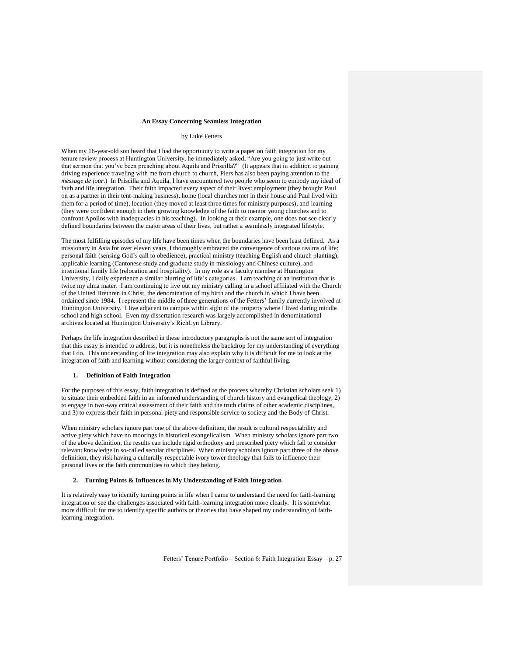## **An Essay Concerning Seamless Integration**

## by Luke Fetters

When my 16-year-old son heard that I had the opportunity to write a paper on faith integration for my tenure review process at Huntington University, he immediately asked, "Are you going to just write out that sermon that you"ve been preaching about Aquila and Priscilla?" (It appears that in addition to gaining driving experience traveling with me from church to church, Piers has also been paying attention to the *message de jour*.) In Priscilla and Aquila, I have encountered two people who seem to embody my ideal of faith and life integration. Their faith impacted every aspect of their lives: employment (they brought Paul on as a partner in their tent-making business), home (local churches met in their house and Paul lived with them for a period of time), location (they moved at least three times for ministry purposes), and learning (they were confident enough in their growing knowledge of the faith to mentor young churches and to confront Apollos with inadequacies in his teaching). In looking at their example, one does not see clearly defined boundaries between the major areas of their lives, but rather a seamlessly integrated lifestyle.

The most fulfilling episodes of my life have been times when the boundaries have been least defined. As a missionary in Asia for over eleven years, I thoroughly embraced the convergence of various realms of life: personal faith (sensing God"s call to obedience), practical ministry (teaching English and church planting), applicable learning (Cantonese study and graduate study in missiology and Chinese culture), and intentional family life (relocation and hospitality). In my role as a faculty member at Huntington University, I daily experience a similar blurring of life"s categories. I am teaching at an institution that is twice my alma mater. I am continuing to live out my ministry calling in a school affiliated with the Church of the United Brethren in Christ, the denomination of my birth and the church in which I have been ordained since 1984. I represent the middle of three generations of the Fetters" family currently involved at Huntington University. I live adjacent to campus within sight of the property where I lived during middle school and high school. Even my dissertation research was largely accomplished in denominational archives located at Huntington University"s RichLyn Library.

Perhaps the life integration described in these introductory paragraphs is not the same sort of integration that this essay is intended to address, but it is nonetheless the backdrop for my understanding of everything that I do. This understanding of life integration may also explain why it is difficult for me to look at the integration of faith and learning without considering the larger context of faithful living.

## **1. Definition of Faith Integration**

For the purposes of this essay, faith integration is defined as the process whereby Christian scholars seek 1) to situate their embedded faith in an informed understanding of church history and evangelical theology, 2) to engage in two-way critical assessment of their faith and the truth claims of other academic disciplines, and 3) to express their faith in personal piety and responsible service to society and the Body of Christ.

When ministry scholars ignore part one of the above definition, the result is cultural respectability and active piety which have no moorings in historical evangelicalism. When ministry scholars ignore part two of the above definition, the results can include rigid orthodoxy and prescribed piety which fail to consider relevant knowledge in so-called secular disciplines. When ministry scholars ignore part three of the above definition, they risk having a culturally-respectable ivory tower theology that fails to influence their personal lives or the faith communities to which they belong.

#### **2. Turning Points & Influences in My Understanding of Faith Integration**

It is relatively easy to identify turning points in life when I came to understand the need for faith-learning integration or see the challenges associated with faith-learning integration more clearly. It is somewhat more difficult for me to identify specific authors or theories that have shaped my understanding of faithlearning integration.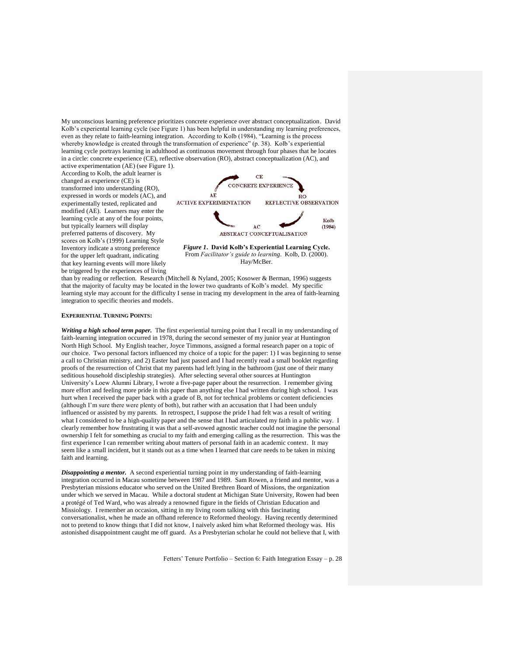My unconscious learning preference prioritizes concrete experience over abstract conceptualization. David Kolb"s experiental learning cycle (see Figure 1) has been helpful in understanding my learning preferences, even as they relate to faith-learning integration. According to Kolb (1984), "Learning is the process whereby knowledge is created through the transformation of experience" (p. 38). Kolb's experiential learning cycle portrays learning in adulthood as continuous movement through four phases that he locates in a circle: concrete experience (CE), reflective observation (RO), abstract conceptualization (AC), and

active experimentation (AE) (see Figure 1). According to Kolb, the adult learner is changed as experience (CE) is transformed into understanding (RO), expressed in words or models (AC), and experimentally tested, replicated and modified (AE). Learners may enter the learning cycle at any of the four points, but typically learners will display preferred patterns of discovery. My scores on Kolb's (1999) Learning Style Inventory indicate a strong preference for the upper left quadrant, indicating that key learning events will more likely be triggered by the experiences of living



*Figure 1***. David Kolb's Experiential Learning Cycle.**  From *Facilitator's guide to learning*. Kolb, D. (2000). Hay/McBer.

than by reading or reflection. Research (Mitchell & Nyland, 2005; Kosower & Berman, 1996) suggests that the majority of faculty may be located in the lower two quadrants of Kolb"s model. My specific learning style may account for the difficulty I sense in tracing my development in the area of faith-learning integration to specific theories and models.

#### **EXPERIENTIAL TURNING POINTS:**

*Writing a high school term paper.* The first experiential turning point that I recall in my understanding of faith-learning integration occurred in 1978, during the second semester of my junior year at Huntington North High School. My English teacher, Joyce Timmons, assigned a formal research paper on a topic of our choice. Two personal factors influenced my choice of a topic for the paper: 1) I was beginning to sense a call to Christian ministry, and 2) Easter had just passed and I had recently read a small booklet regarding proofs of the resurrection of Christ that my parents had left lying in the bathroom (just one of their many seditious household discipleship strategies). After selecting several other sources at Huntington University"s Loew Alumni Library, I wrote a five-page paper about the resurrection. I remember giving more effort and feeling more pride in this paper than anything else I had written during high school. I was hurt when I received the paper back with a grade of B, not for technical problems or content deficiencies (although I"m sure there were plenty of both), but rather with an accusation that I had been unduly influenced or assisted by my parents. In retrospect, I suppose the pride I had felt was a result of writing what I considered to be a high-quality paper and the sense that I had articulated my faith in a public way. I clearly remember how frustrating it was that a self-avowed agnostic teacher could not imagine the personal ownership I felt for something as crucial to my faith and emerging calling as the resurrection. This was the first experience I can remember writing about matters of personal faith in an academic context. It may seem like a small incident, but it stands out as a time when I learned that care needs to be taken in mixing faith and learning.

*Disappointing a mentor.* A second experiential turning point in my understanding of faith-learning integration occurred in Macau sometime between 1987 and 1989. Sam Rowen, a friend and mentor, was a Presbyterian missions educator who served on the United Brethren Board of Missions, the organization under which we served in Macau. While a doctoral student at Michigan State University, Rowen had been a protégé of Ted Ward, who was already a renowned figure in the fields of Christian Education and Missiology. I remember an occasion, sitting in my living room talking with this fascinating conversationalist, when he made an offhand reference to Reformed theology. Having recently determined not to pretend to know things that I did not know, I naively asked him what Reformed theology was. His astonished disappointment caught me off guard. As a Presbyterian scholar he could not believe that I, with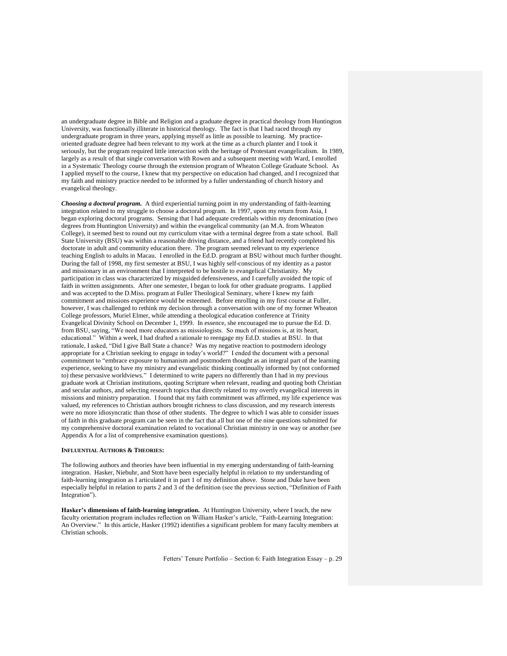an undergraduate degree in Bible and Religion and a graduate degree in practical theology from Huntington University, was functionally illiterate in historical theology. The fact is that I had raced through my undergraduate program in three years, applying myself as little as possible to learning. My practiceoriented graduate degree had been relevant to my work at the time as a church planter and I took it seriously, but the program required little interaction with the heritage of Protestant evangelicalism. In 1989, largely as a result of that single conversation with Rowen and a subsequent meeting with Ward, I enrolled in a Systematic Theology course through the extension program of Wheaton College Graduate School. As I applied myself to the course, I knew that my perspective on education had changed, and I recognized that my faith and ministry practice needed to be informed by a fuller understanding of church history and evangelical theology.

*Choosing a doctoral program.* A third experiential turning point in my understanding of faith-learning integration related to my struggle to choose a doctoral program. In 1997, upon my return from Asia, I began exploring doctoral programs. Sensing that I had adequate credentials within my denomination (two degrees from Huntington University) and within the evangelical community (an M.A. from Wheaton College), it seemed best to round out my curriculum vitae with a terminal degree from a state school. Ball State University (BSU) was within a reasonable driving distance, and a friend had recently completed his doctorate in adult and community education there. The program seemed relevant to my experience teaching English to adults in Macau. I enrolled in the Ed.D. program at BSU without much further thought. During the fall of 1998, my first semester at BSU, I was highly self-conscious of my identity as a pastor and missionary in an environment that I interpreted to be hostile to evangelical Christianity. My participation in class was characterized by misguided defensiveness, and I carefully avoided the topic of faith in written assignments. After one semester, I began to look for other graduate programs. I applied and was accepted to the D.Miss. program at Fuller Theological Seminary, where I knew my faith commitment and missions experience would be esteemed. Before enrolling in my first course at Fuller, however, I was challenged to rethink my decision through a conversation with one of my former Wheaton College professors, Muriel Elmer, while attending a theological education conference at Trinity Evangelical Divinity School on December 1, 1999. In essence, she encouraged me to pursue the Ed. D. from BSU, saying, "We need more educators as missiologists. So much of missions is, at its heart, educational." Within a week, I had drafted a rationale to reengage my Ed.D. studies at BSU. In that rationale, I asked, "Did I give Ball State a chance? Was my negative reaction to postmodern ideology appropriate for a Christian seeking to engage in today's world?" I ended the document with a personal commitment to "embrace exposure to humanism and postmodern thought as an integral part of the learning experience, seeking to have my ministry and evangelistic thinking continually informed by (not conformed to) these pervasive worldviews." I determined to write papers no differently than I had in my previous graduate work at Christian institutions, quoting Scripture when relevant, reading and quoting both Christian and secular authors, and selecting research topics that directly related to my overtly evangelical interests in missions and ministry preparation. I found that my faith commitment was affirmed, my life experience was valued, my references to Christian authors brought richness to class discussion, and my research interests were no more idiosyncratic than those of other students. The degree to which I was able to consider issues of faith in this graduate program can be seen in the fact that all but one of the nine questions submitted for my comprehensive doctoral examination related to vocational Christian ministry in one way or another (see Appendix A for a list of comprehensive examination questions).

## **INFLUENTIAL AUTHORS & THEORIES:**

The following authors and theories have been influential in my emerging understanding of faith-learning integration. Hasker, Niebuhr, and Stott have been especially helpful in relation to my understanding of faith-learning integration as I articulated it in part 1 of my definition above. Stone and Duke have been especially helpful in relation to parts 2 and 3 of the definition (see the previous section, "Definition of Faith Integration").

**Hasker's dimensions of faith-learning integration.** At Huntington University, where I teach, the new faculty orientation program includes reflection on William Hasker's article, "Faith-Learning Integration: An Overview." In this article, Hasker (1992) identifies a significant problem for many faculty members at Christian schools.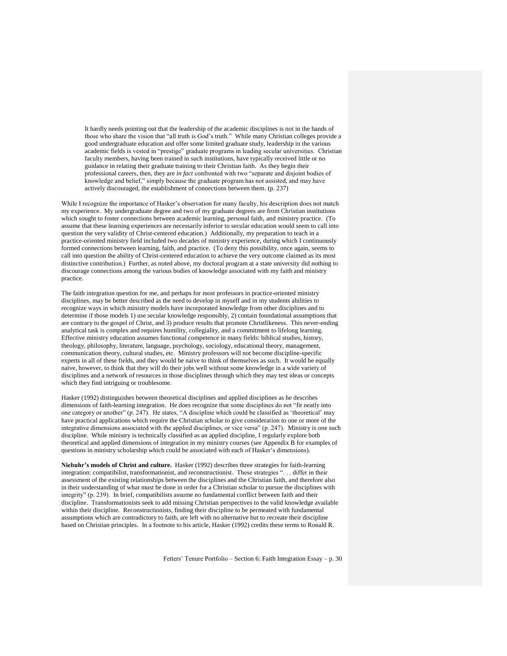It hardly needs pointing out that the leadership of the academic disciplines is not in the hands of those who share the vision that "all truth is God's truth." While many Christian colleges provide a good undergraduate education and offer some limited graduate study, leadership in the various academic fields is vested in "prestige" graduate programs in leading secular universities. Christian faculty members, having been trained in such institutions, have typically received little or no guidance in relating their graduate training to their Christian faith. As they begin their professional careers, then, they are *in fact* confronted with two "separate and disjoint bodies of knowledge and belief," simply because the graduate program has not assisted, and may have actively discouraged, the establishment of connections between them. (p. 237)

While I recognize the importance of Hasker's observation for many faculty, his description does not match my experience. My undergraduate degree and two of my graduate degrees are from Christian institutions which sought to foster connections between academic learning, personal faith, and ministry practice. (To assume that these learning experiences are necessarily inferior to secular education would seem to call into question the very validity of Christ-centered education.) Additionally, my preparation to teach in a practice-oriented ministry field included two decades of ministry experience, during which I continuously formed connections between learning, faith, and practice. (To deny this possibility, once again, seems to call into question the ability of Christ-centered education to achieve the very outcome claimed as its most distinctive contribution.) Further, as noted above, my doctoral program at a state university did nothing to discourage connections among the various bodies of knowledge associated with my faith and ministry practice.

The faith integration question for me, and perhaps for most professors in practice-oriented ministry disciplines, may be better described as the need to develop in myself and in my students abilities to recognize ways in which ministry models have incorporated knowledge from other disciplines and to determine if those models 1) use secular knowledge responsibly, 2) contain foundational assumptions that are contrary to the gospel of Christ, and 3) produce results that promote Christlikeness. This never-ending analytical task is complex and requires humility, collegiality, and a commitment to lifelong learning. Effective ministry education assumes functional competence in many fields: biblical studies, history, theology, philosophy, literature, language, psychology, sociology, educational theory, management, communication theory, cultural studies, etc. Ministry professors will not become discipline-specific experts in all of these fields, and they would be naïve to think of themselves as such. It would be equally naïve, however, to think that they will do their jobs well without some knowledge in a wide variety of disciplines and a network of resources in those disciplines through which they may test ideas or concepts which they find intriguing or troublesome.

Hasker (1992) distinguishes between theoretical disciplines and applied disciplines as he describes dimensions of faith-learning integration. He does recognize that some disciplines do not "fit neatly into one category or another" (p. 247). He states, "A discipline which could be classified as "theoretical" may have practical applications which require the Christian scholar to give consideration to one or more of the integrative dimensions associated with the applied disciplines, or vice versa" (p. 247). Ministry is one such discipline. While ministry is technically classified as an applied discipline, I regularly explore both theoretical and applied dimensions of integration in my ministry courses (see Appendix B for examples of questions in ministry scholarship which could be associated with each of Hasker"s dimensions).

**Niebuhr's models of Christ and culture.** Hasker (1992) describes three strategies for faith-learning integration: compatibilist, transformationist, and reconstructionist. These strategies ". . . differ in their assessment of the existing relationships between the disciplines and the Christian faith, and therefore also in their understanding of what must be done in order for a Christian scholar to pursue the disciplines with integrity" (p. 239). In brief, compatibilists assume no fundamental conflict between faith and their discipline. Transformationists seek to add missing Christian perspectives to the valid knowledge available within their discipline. Reconstructionists, finding their discipline to be permeated with fundamental assumptions which are contradictory to faith, are left with no alternative but to recreate their discipline based on Christian principles. In a footnote to his article, Hasker (1992) credits these terms to Ronald R.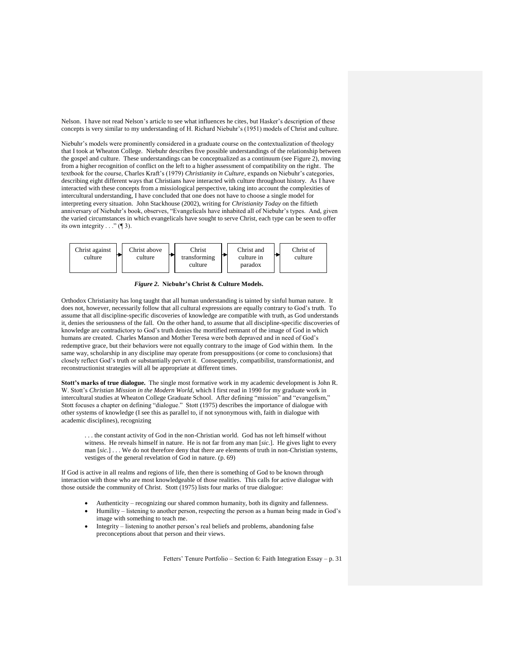Nelson. I have not read Nelson"s article to see what influences he cites, but Hasker"s description of these concepts is very similar to my understanding of H. Richard Niebuhr"s (1951) models of Christ and culture.

Niebuhr"s models were prominently considered in a graduate course on the contextualization of theology that I took at Wheaton College. Niebuhr describes five possible understandings of the relationship between the gospel and culture. These understandings can be conceptualized as a continuum (see Figure 2), moving from a higher recognition of conflict on the left to a higher assessment of compatibility on the right. The textbook for the course, Charles Kraft's (1979) *Christianity in Culture*, expands on Niebuhr's categories, describing eight different ways that Christians have interacted with culture throughout history. As I have interacted with these concepts from a missiological perspective, taking into account the complexities of intercultural understanding, I have concluded that one does not have to choose a single model for interpreting every situation. John Stackhouse (2002), writing for *Christianity Today* on the fiftieth anniversary of Niebuhr's book, observes, "Evangelicals have inhabited all of Niebuhr's types. And, given the varied circumstances in which evangelicals have sought to serve Christ, each type can be seen to offer its own integrity  $\ldots$  " ([3).



*Figure 2.* **Niebuhr's Christ & Culture Models.**

Orthodox Christianity has long taught that all human understanding is tainted by sinful human nature. It does not, however, necessarily follow that all cultural expressions are equally contrary to God's truth. To assume that all discipline-specific discoveries of knowledge are compatible with truth, as God understands it, denies the seriousness of the fall. On the other hand, to assume that all discipline-specific discoveries of knowledge are contradictory to God"s truth denies the mortified remnant of the image of God in which humans are created. Charles Manson and Mother Teresa were both depraved and in need of God"s redemptive grace, but their behaviors were not equally contrary to the image of God within them. In the same way, scholarship in any discipline may operate from presuppositions (or come to conclusions) that closely reflect God"s truth or substantially pervert it. Consequently, compatibilist, transformationist, and reconstructionist strategies will all be appropriate at different times.

**Stott's marks of true dialogue.** The single most formative work in my academic development is John R. W. Stott"s *Christian Mission in the Modern World,* which I first read in 1990 for my graduate work in intercultural studies at Wheaton College Graduate School. After defining "mission" and "evangelism," Stott focuses a chapter on defining "dialogue." Stott (1975) describes the importance of dialogue with other systems of knowledge (I see this as parallel to, if not synonymous with, faith in dialogue with academic disciplines), recognizing

. . . the constant activity of God in the non-Christian world. God has not left himself without witness. He reveals himself in nature. He is not far from any man [*sic.*]. He gives light to every man [*sic.*] . . . We do not therefore deny that there are elements of truth in non-Christian systems, vestiges of the general revelation of God in nature. (p. 69)

If God is active in all realms and regions of life, then there is something of God to be known through interaction with those who are most knowledgeable of those realities. This calls for active dialogue with those outside the community of Christ. Stott (1975) lists four marks of true dialogue:

- Authenticity recognizing our shared common humanity, both its dignity and fallenness.
- Humility listening to another person, respecting the person as a human being made in God"s image with something to teach me.
- Integrity listening to another person"s real beliefs and problems, abandoning false preconceptions about that person and their views.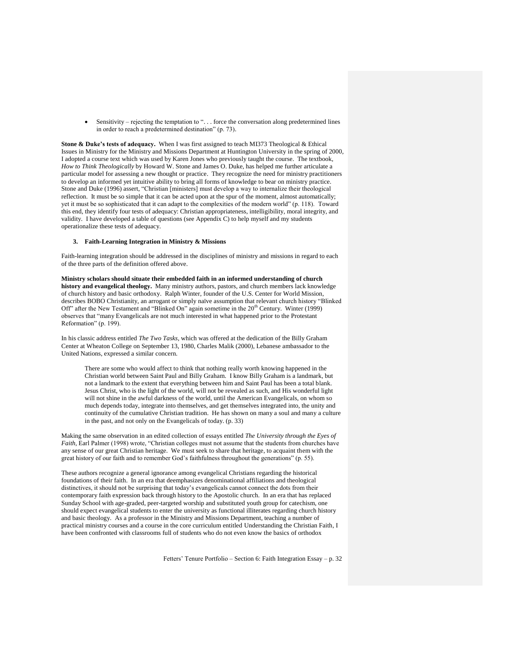• Sensitivity – rejecting the temptation to "... force the conversation along predetermined lines in order to reach a predetermined destination" (p. 73).

**Stone & Duke's tests of adequacy.** When I was first assigned to teach MI373 Theological & Ethical Issues in Ministry for the Ministry and Missions Department at Huntington University in the spring of 2000, I adopted a course text which was used by Karen Jones who previously taught the course. The textbook, *How to Think Theologically* by Howard W. Stone and James O. Duke, has helped me further articulate a particular model for assessing a new thought or practice. They recognize the need for ministry practitioners to develop an informed yet intuitive ability to bring all forms of knowledge to bear on ministry practice. Stone and Duke (1996) assert, "Christian [ministers] must develop a way to internalize their theological reflection. It must be so simple that it can be acted upon at the spur of the moment, almost automatically; yet it must be so sophisticated that it can adapt to the complexities of the modern world" (p. 118). Toward this end, they identify four tests of adequacy: Christian appropriateness, intelligibility, moral integrity, and validity. I have developed a table of questions (see Appendix C) to help myself and my students operationalize these tests of adequacy.

# **3. Faith-Learning Integration in Ministry & Missions**

Faith-learning integration should be addressed in the disciplines of ministry and missions in regard to each of the three parts of the definition offered above.

**Ministry scholars should situate their embedded faith in an informed understanding of church history and evangelical theology.** Many ministry authors, pastors, and church members lack knowledge of church history and basic orthodoxy. Ralph Winter, founder of the U.S. Center for World Mission, describes BOBO Christianity, an arrogant or simply naïve assumption that relevant church history "Blinked Off" after the New Testament and "Blinked On" again sometime in the 20<sup>th</sup> Century. Winter (1999) observes that "many Evangelicals are not much interested in what happened prior to the Protestant Reformation" (p. 199).

In his classic address entitled *The Two Tasks*, which was offered at the dedication of the Billy Graham Center at Wheaton College on September 13, 1980, Charles Malik (2000), Lebanese ambassador to the United Nations, expressed a similar concern.

There are some who would affect to think that nothing really worth knowing happened in the Christian world between Saint Paul and Billy Graham. I know Billy Graham is a landmark, but not a landmark to the extent that everything between him and Saint Paul has been a total blank. Jesus Christ, who is the light of the world, will not be revealed as such, and His wonderful light will not shine in the awful darkness of the world, until the American Evangelicals, on whom so much depends today, integrate into themselves, and get themselves integrated into, the unity and continuity of the cumulative Christian tradition. He has shown on many a soul and many a culture in the past, and not only on the Evangelicals of today. (p. 33)

Making the same observation in an edited collection of essays entitled *The University through the Eyes of Faith*, Earl Palmer (1998) wrote, "Christian colleges must not assume that the students from churches have any sense of our great Christian heritage. We must seek to share that heritage, to acquaint them with the great history of our faith and to remember God"s faithfulness throughout the generations" (p. 55).

These authors recognize a general ignorance among evangelical Christians regarding the historical foundations of their faith. In an era that deemphasizes denominational affiliations and theological distinctives, it should not be surprising that today"s evangelicals cannot connect the dots from their contemporary faith expression back through history to the Apostolic church. In an era that has replaced Sunday School with age-graded, peer-targeted worship and substituted youth group for catechism, one should expect evangelical students to enter the university as functional illiterates regarding church history and basic theology. As a professor in the Ministry and Missions Department, teaching a number of practical ministry courses and a course in the core curriculum entitled Understanding the Christian Faith, I have been confronted with classrooms full of students who do not even know the basics of orthodox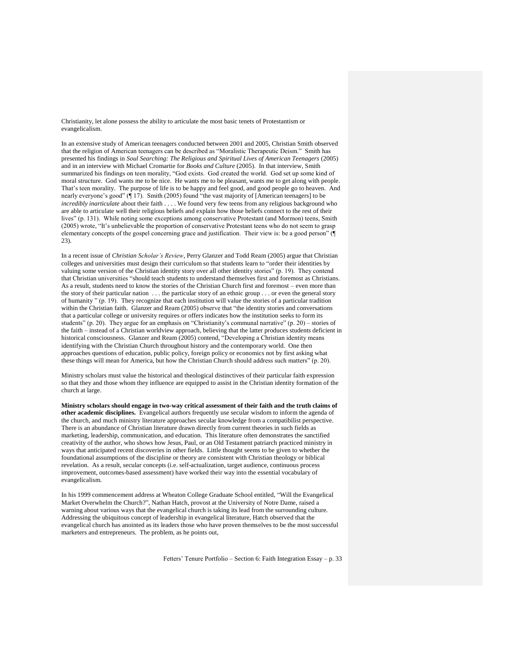Christianity, let alone possess the ability to articulate the most basic tenets of Protestantism or evangelicalism.

In an extensive study of American teenagers conducted between 2001 and 2005, Christian Smith observed that the religion of American teenagers can be described as "Moralistic Therapeutic Deism." Smith has presented his findings in *Soul Searching: The Religious and Spiritual Lives of American Teenagers* (2005) and in an interview with Michael Cromartie for *Books and Culture* (2005). In that interview, Smith summarized his findings on teen morality, "God exists. God created the world. God set up some kind of moral structure. God wants me to be nice. He wants me to be pleasant, wants me to get along with people. That"s teen morality. The purpose of life is to be happy and feel good, and good people go to heaven. And nearly everyone's good" ( $\P$  17). Smith (2005) found "the vast majority of [American teenagers] to be *incredibly inarticulate* about their faith . . . . We found very few teens from any religious background who are able to articulate well their religious beliefs and explain how those beliefs connect to the rest of their lives" (p. 131). While noting some exceptions among conservative Protestant (and Mormon) teens, Smith (2005) wrote, "It"s unbelievable the proportion of conservative Protestant teens who do not seem to grasp elementary concepts of the gospel concerning grace and justification. Their view is: be a good person" (¶ 23).

In a recent issue of *Christian Scholar's Review*, Perry Glanzer and Todd Ream (2005) argue that Christian colleges and universities must design their curriculum so that students learn to "order their identities by valuing some version of the Christian identity story over all other identity stories" (p. 19). They contend that Christian universities "should teach students to understand themselves first and foremost as Christians. As a result, students need to know the stories of the Christian Church first and foremost – even more than the story of their particular nation . . . the particular story of an ethnic group . . . or even the general story of humanity " (p. 19). They recognize that each institution will value the stories of a particular tradition within the Christian faith. Glanzer and Ream (2005) observe that "the identity stories and conversations that a particular college or university requires or offers indicates how the institution seeks to form its students" (p. 20). They argue for an emphasis on "Christianity's communal narrative" (p. 20) – stories of the faith – instead of a Christian worldview approach, believing that the latter produces students deficient in historical consciousness. Glanzer and Ream (2005) contend, "Developing a Christian identity means identifying with the Christian Church throughout history and the contemporary world. One then approaches questions of education, public policy, foreign policy or economics not by first asking what these things will mean for America, but how the Christian Church should address such matters" (p. 20).

Ministry scholars must value the historical and theological distinctives of their particular faith expression so that they and those whom they influence are equipped to assist in the Christian identity formation of the church at large.

**Ministry scholars should engage in two-way critical assessment of their faith and the truth claims of other academic disciplines.** Evangelical authors frequently use secular wisdom to inform the agenda of the church, and much ministry literature approaches secular knowledge from a compatibilist perspective. There is an abundance of Christian literature drawn directly from current theories in such fields as marketing, leadership, communication, and education. This literature often demonstrates the sanctified creativity of the author, who shows how Jesus, Paul, or an Old Testament patriarch practiced ministry in ways that anticipated recent discoveries in other fields. Little thought seems to be given to whether the foundational assumptions of the discipline or theory are consistent with Christian theology or biblical revelation. As a result, secular concepts (i.e. self-actualization, target audience, continuous process improvement, outcomes-based assessment) have worked their way into the essential vocabulary of evangelicalism.

In his 1999 commencement address at Wheaton College Graduate School entitled, "Will the Evangelical Market Overwhelm the Church?", Nathan Hatch, provost at the University of Notre Dame, raised a warning about various ways that the evangelical church is taking its lead from the surrounding culture. Addressing the ubiquitous concept of leadership in evangelical literature, Hatch observed that the evangelical church has anointed as its leaders those who have proven themselves to be the most successful marketers and entrepreneurs. The problem, as he points out,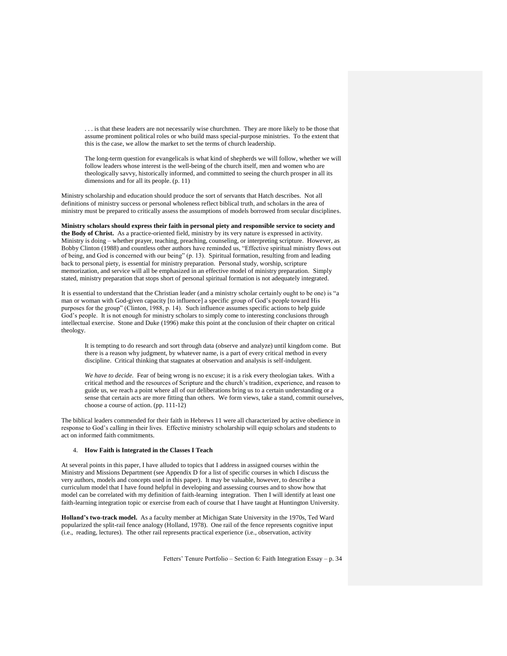. . . is that these leaders are not necessarily wise churchmen. They are more likely to be those that assume prominent political roles or who build mass special-purpose ministries. To the extent that this is the case, we allow the market to set the terms of church leadership.

The long-term question for evangelicals is what kind of shepherds we will follow, whether we will follow leaders whose interest is the well-being of the church itself, men and women who are theologically savvy, historically informed, and committed to seeing the church prosper in all its dimensions and for all its people. (p. 11)

Ministry scholarship and education should produce the sort of servants that Hatch describes. Not all definitions of ministry success or personal wholeness reflect biblical truth, and scholars in the area of ministry must be prepared to critically assess the assumptions of models borrowed from secular disciplines.

**Ministry scholars should express their faith in personal piety and responsible service to society and the Body of Christ.** As a practice-oriented field, ministry by its very nature is expressed in activity. Ministry is doing – whether prayer, teaching, preaching, counseling, or interpreting scripture. However, as Bobby Clinton (1988) and countless other authors have reminded us, "Effective spiritual ministry flows out of being, and God is concerned with our being" (p. 13). Spiritual formation, resulting from and leading back to personal piety, is essential for ministry preparation. Personal study, worship, scripture memorization, and service will all be emphasized in an effective model of ministry preparation. Simply stated, ministry preparation that stops short of personal spiritual formation is not adequately integrated.

It is essential to understand that the Christian leader (and a ministry scholar certainly ought to be one) is "a man or woman with God-given capacity [to influence] a specific group of God's people toward His purposes for the group" (Clinton, 1988, p. 14). Such influence assumes specific actions to help guide God's people. It is not enough for ministry scholars to simply come to interesting conclusions through intellectual exercise. Stone and Duke (1996) make this point at the conclusion of their chapter on critical theology.

It is tempting to do research and sort through data (observe and analyze) until kingdom come. But there is a reason why judgment, by whatever name, is a part of every critical method in every discipline. Critical thinking that stagnates at observation and analysis is self-indulgent.

*We have to decide.* Fear of being wrong is no excuse; it is a risk every theologian takes. With a critical method and the resources of Scripture and the church"s tradition, experience, and reason to guide us, we reach a point where all of our deliberations bring us to a certain understanding or a sense that certain acts are more fitting than others. We form views, take a stand, commit ourselves, choose a course of action. (pp. 111-12)

The biblical leaders commended for their faith in Hebrews 11 were all characterized by active obedience in response to God"s calling in their lives. Effective ministry scholarship will equip scholars and students to act on informed faith commitments.

## 4. **How Faith is Integrated in the Classes I Teach**

At several points in this paper, I have alluded to topics that I address in assigned courses within the Ministry and Missions Department (see Appendix D for a list of specific courses in which I discuss the very authors, models and concepts used in this paper). It may be valuable, however, to describe a curriculum model that I have found helpful in developing and assessing courses and to show how that model can be correlated with my definition of faith-learning integration. Then I will identify at least one faith-learning integration topic or exercise from each of course that I have taught at Huntington University.

**Holland's two-track model.** As a faculty member at Michigan State University in the 1970s, Ted Ward popularized the split-rail fence analogy (Holland, 1978). One rail of the fence represents cognitive input (i.e., reading, lectures). The other rail represents practical experience (i.e., observation, activity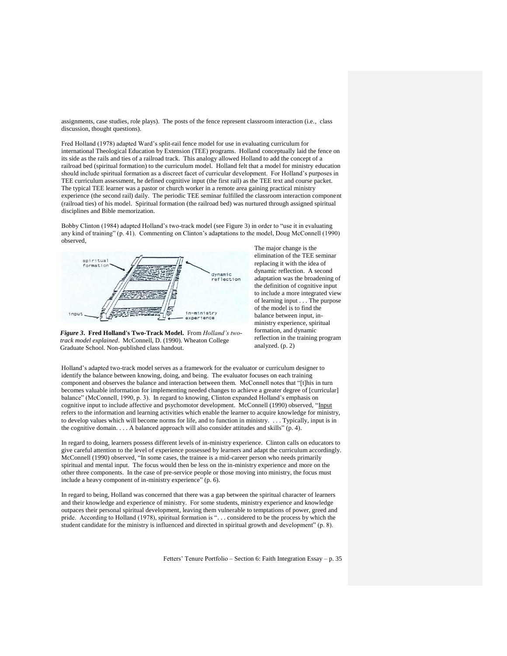assignments, case studies, role plays). The posts of the fence represent classroom interaction (i.e., class discussion, thought questions).

Fred Holland (1978) adapted Ward"s split-rail fence model for use in evaluating curriculum for international Theological Education by Extension (TEE) programs. Holland conceptually laid the fence on its side as the rails and ties of a railroad track. This analogy allowed Holland to add the concept of a railroad bed (spiritual formation) to the curriculum model. Holland felt that a model for ministry education should include spiritual formation as a discreet facet of curricular development. For Holland"s purposes in TEE curriculum assessment, he defined cognitive input (the first rail) as the TEE text and course packet. The typical TEE learner was a pastor or church worker in a remote area gaining practical ministry experience (the second rail) daily. The periodic TEE seminar fulfilled the classroom interaction component (railroad ties) of his model. Spiritual formation (the railroad bed) was nurtured through assigned spiritual disciplines and Bible memorization.

Bobby Clinton (1984) adapted Holland"s two-track model (see Figure 3) in order to "use it in evaluating any kind of training" (p. 41). Commenting on Clinton"s adaptations to the model, Doug McConnell (1990) observed,



*Figure 3***. Fred Holland's Two-Track Model.** From *Holland's twotrack model explained*. McConnell, D. (1990). Wheaton College Graduate School. Non-published class handout.

The major change is the elimination of the TEE seminar replacing it with the idea of dynamic reflection. A second adaptation was the broadening of the definition of cognitive input to include a more integrated view of learning input . . . The purpose of the model is to find the balance between input, inministry experience, spiritual formation, and dynamic reflection in the training program analyzed. (p. 2)

Holland"s adapted two-track model serves as a framework for the evaluator or curriculum designer to identify the balance between knowing, doing, and being. The evaluator focuses on each training component and observes the balance and interaction between them. McConnell notes that "[t]his in turn becomes valuable information for implementing needed changes to achieve a greater degree of [curricular] balance" (McConnell, 1990, p. 3). In regard to knowing, Clinton expanded Holland's emphasis on cognitive input to include affective and psychomotor development. McConnell (1990) observed, "Input refers to the information and learning activities which enable the learner to acquire knowledge for ministry, to develop values which will become norms for life, and to function in ministry. . . . Typically, input is in the cognitive domain. . . . A balanced approach will also consider attitudes and skills" (p. 4).

In regard to doing, learners possess different levels of in-ministry experience. Clinton calls on educators to give careful attention to the level of experience possessed by learners and adapt the curriculum accordingly. McConnell (1990) observed, "In some cases, the trainee is a mid-career person who needs primarily spiritual and mental input. The focus would then be less on the in-ministry experience and more on the other three components. In the case of pre-service people or those moving into ministry, the focus must include a heavy component of in-ministry experience" (p. 6).

In regard to being, Holland was concerned that there was a gap between the spiritual character of learners and their knowledge and experience of ministry. For some students, ministry experience and knowledge outpaces their personal spiritual development, leaving them vulnerable to temptations of power, greed and pride. According to Holland (1978), spiritual formation is ". . . considered to be the process by which the student candidate for the ministry is influenced and directed in spiritual growth and development" (p. 8).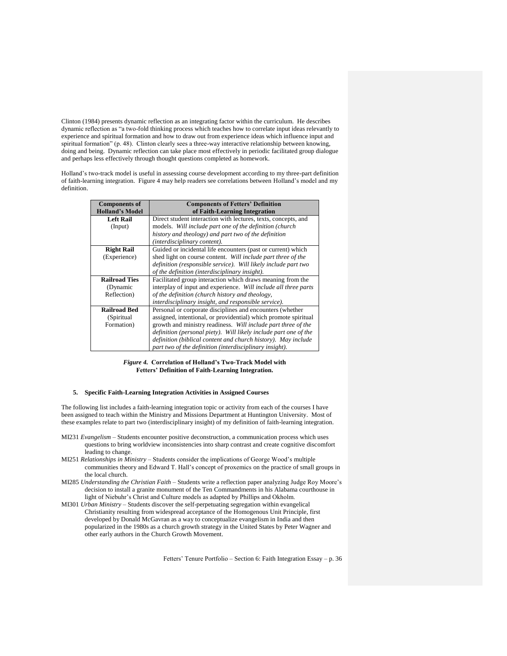Clinton (1984) presents dynamic reflection as an integrating factor within the curriculum. He describes dynamic reflection as "a two-fold thinking process which teaches how to correlate input ideas relevantly to experience and spiritual formation and how to draw out from experience ideas which influence input and spiritual formation" (p. 48). Clinton clearly sees a three-way interactive relationship between knowing, doing and being. Dynamic reflection can take place most effectively in periodic facilitated group dialogue and perhaps less effectively through thought questions completed as homework.

Holland"s two-track model is useful in assessing course development according to my three-part definition of faith-learning integration. Figure 4 may help readers see correlations between Holland"s model and my definition.

| <b>Components of</b>   | <b>Components of Fetters' Definition</b>                         |  |
|------------------------|------------------------------------------------------------------|--|
| <b>Holland's Model</b> | of Faith-Learning Integration                                    |  |
| Left Rail              | Direct student interaction with lectures, texts, concepts, and   |  |
| (Input)                | models. Will include part one of the definition (church          |  |
|                        | history and theology) and part two of the definition             |  |
|                        | (interdisciplinary content).                                     |  |
| <b>Right Rail</b>      | Guided or incidental life encounters (past or current) which     |  |
| (Experience)           | shed light on course content. Will include part three of the     |  |
|                        | definition (responsible service). Will likely include part two   |  |
|                        | of the definition (interdisciplinary insight).                   |  |
| <b>Railroad Ties</b>   | Facilitated group interaction which draws meaning from the       |  |
| (Dynamic               | interplay of input and experience. Will include all three parts  |  |
| Reflection)            | of the definition (church history and theology,                  |  |
|                        | interdisciplinary insight, and responsible service).             |  |
| <b>Railroad Bed</b>    | Personal or corporate disciplines and encounters (whether        |  |
| (Spiritual             | assigned, intentional, or providential) which promote spiritual  |  |
| Formation)             | growth and ministry readiness. Will include part three of the    |  |
|                        | definition (personal piety). Will likely include part one of the |  |
|                        | definition (biblical content and church history). May include    |  |
|                        | part two of the definition (interdisciplinary insight).          |  |

## *Figure 4.* **Correlation of Holland's Two-Track Model with Fetters' Definition of Faith-Learning Integration.**

## **5. Specific Faith-Learning Integration Activities in Assigned Courses**

The following list includes a faith-learning integration topic or activity from each of the courses I have been assigned to teach within the Ministry and Missions Department at Huntington University. Most of these examples relate to part two (interdisciplinary insight) of my definition of faith-learning integration.

- MI231 *Evangelism* Students encounter positive deconstruction, a communication process which uses questions to bring worldview inconsistencies into sharp contrast and create cognitive discomfort leading to change.
- MI251 *Relationships in Ministry* Students consider the implications of George Wood"s multiple communities theory and Edward T. Hall"s concept of proxemics on the practice of small groups in the local church.
- MI285 *Understanding the Christian Faith* Students write a reflection paper analyzing Judge Roy Moore"s decision to install a granite monument of the Ten Commandments in his Alabama courthouse in light of Niebuhr"s Christ and Culture models as adapted by Phillips and Okholm.
- MI301 *Urban Ministry* Students discover the self-perpetuating segregation within evangelical Christianity resulting from widespread acceptance of the Homogenous Unit Principle, first developed by Donald McGavran as a way to conceptualize evangelism in India and then popularized in the 1980s as a church growth strategy in the United States by Peter Wagner and other early authors in the Church Growth Movement.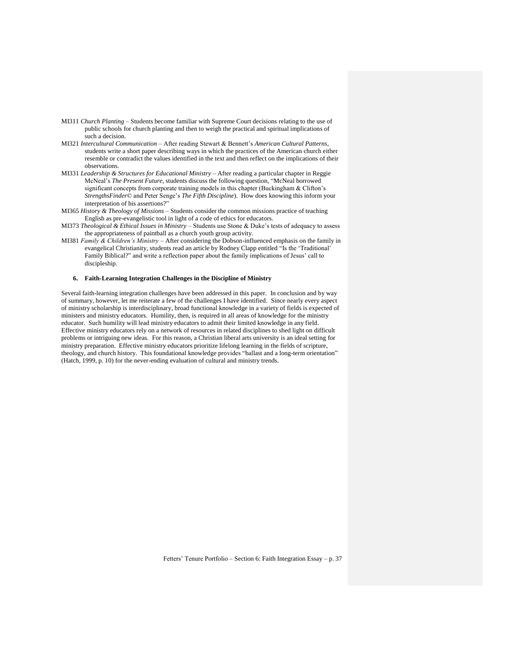- MI311 *Church Planting* Students become familiar with Supreme Court decisions relating to the use of public schools for church planting and then to weigh the practical and spiritual implications of such a decision.
- MI321 *Intercultural Communication* After reading Stewart & Bennett"s *American Cultural Patterns*, students write a short paper describing ways in which the practices of the American church either resemble or contradict the values identified in the text and then reflect on the implications of their observations.
- MI331 *Leadership & Structures for Educational Ministry* After reading a particular chapter in Reggie McNeal"s *The Present Future*, students discuss the following question, "McNeal borrowed significant concepts from corporate training models in this chapter (Buckingham & Clifton's *StrengthsFinder*© and Peter Senge"s *The Fifth Discipline*). How does knowing this inform your interpretation of his assertions?"
- MI365 *History & Theology of Missions* Students consider the common missions practice of teaching English as pre-evangelistic tool in light of a code of ethics for educators.
- MI373 *Theological & Ethical Issues in Ministry* Students use Stone & Duke"s tests of adequacy to assess the appropriateness of paintball as a church youth group activity.
- MI381 *Family & Children's Ministry* After considering the Dobson-influenced emphasis on the family in evangelical Christianity, students read an article by Rodney Clapp entitled "Is the "Traditional" Family Biblical?" and write a reflection paper about the family implications of Jesus' call to discipleship.

# **6. Faith-Learning Integration Challenges in the Discipline of Ministry**

Several faith-learning integration challenges have been addressed in this paper. In conclusion and by way of summary, however, let me reiterate a few of the challenges I have identified. Since nearly every aspect of ministry scholarship is interdisciplinary, broad functional knowledge in a variety of fields is expected of ministers and ministry educators. Humility, then, is required in all areas of knowledge for the ministry educator. Such humility will lead ministry educators to admit their limited knowledge in any field. Effective ministry educators rely on a network of resources in related disciplines to shed light on difficult problems or intriguing new ideas. For this reason, a Christian liberal arts university is an ideal setting for ministry preparation. Effective ministry educators prioritize lifelong learning in the fields of scripture, theology, and church history. This foundational knowledge provides "ballast and a long-term orientation" (Hatch, 1999, p. 10) for the never-ending evaluation of cultural and ministry trends.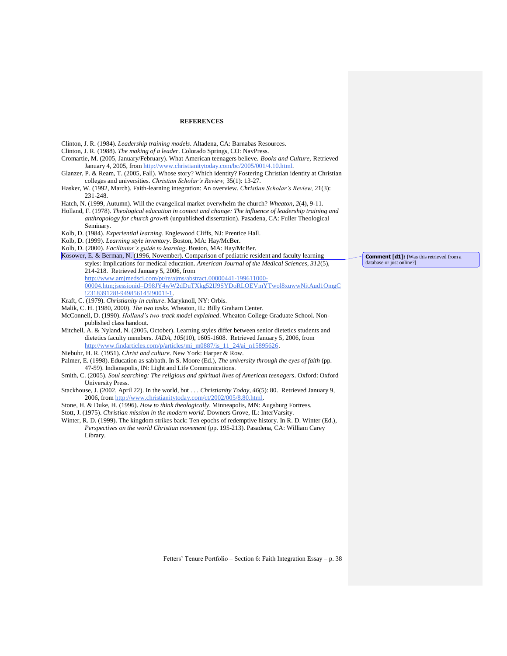## **REFERENCES**

- Clinton, J. R. (1984). *Leadership training models*. Altadena, CA: Barnabas Resources. Clinton, J. R. (1988). *The making of a leader*. Colorado Springs, CO: NavPress.
- Cromartie, M. (2005, January/February). What American teenagers believe. *Books and Culture,* Retrieved January 4, 2005, from [http://www.christianitytoday.com/bc/2005/001/4.10.html.](http://www.christianitytoday.com/bc/2005/001/4.10.html)
- Glanzer, P. & Ream, T. (2005, Fall). Whose story? Which identity? Fostering Christian identity at Christian colleges and universities. *Christian Scholar's Review,* 35(1): 13-27.
- Hasker, W. (1992, March). Faith-learning integration: An overview. *Christian Scholar's Review,* 21(3): 231-248.
- Hatch, N. (1999, Autumn). Will the evangelical market overwhelm the church? *Wheaton, 2*(4), 9-11.
- Holland, F. (1978). *Theological education in context and change: The influence of leadership training and anthropology for church growth* (unpublished dissertation). Pasadena, CA: Fuller Theological Seminary.
- Kolb, D. (1984). *Experiential learning*. Englewood Cliffs, NJ: Prentice Hall.
- Kolb, D. (1999). *Learning style inventory*. Boston, MA: Hay/McBer.
- Kolb, D. (2000). *Facilitator's guide to learning*. Boston, MA: Hay/McBer.
- Kosower, E. & Berman, N. (1996, November). Comparison of pediatric resident and faculty learning styles: Implications for medical education. *American Journal of the Medical Sciences, 312*(5), 214-218. Retrieved January 5, 2006, from
	- [http://www.amjmedsci.com/pt/re/ajms/abstract.00000441-199611000-](http://www.amjmedsci.com/pt/re/ajms/abstract.00000441-199611000-00004.htm;jsessionid=D98JY4wW2dDuTXkg52IJ9SYDoRLOEVmYTwol8xuwwNitAud1OmgC!231839128!-949856145!9001!-1)

[00004.htm;jsessionid=D98JY4wW2dDuTXkg52IJ9SYDoRLOEVmYTwol8xuwwNitAud1OmgC](http://www.amjmedsci.com/pt/re/ajms/abstract.00000441-199611000-00004.htm;jsessionid=D98JY4wW2dDuTXkg52IJ9SYDoRLOEVmYTwol8xuwwNitAud1OmgC!231839128!-949856145!9001!-1) [!231839128!-949856145!9001!-1.](http://www.amjmedsci.com/pt/re/ajms/abstract.00000441-199611000-00004.htm;jsessionid=D98JY4wW2dDuTXkg52IJ9SYDoRLOEVmYTwol8xuwwNitAud1OmgC!231839128!-949856145!9001!-1)

- Kraft, C. (1979). *Christianity in culture*. Maryknoll, NY: Orbis.
- Malik, C. H. (1980, 2000). *The two tasks*. Wheaton, IL: Billy Graham Center.
- McConnell, D. (1990). *Holland's two-track model explained*. Wheaton College Graduate School. Nonpublished class handout.
- Mitchell, A. & Nyland, N. (2005, October). Learning styles differ between senior dietetics students and dietetics faculty members. *JADA*, *105*(10), 1605-1608. Retrieved January 5, 2006, from [http://www.findarticles.com/p/articles/mi\\_m0887/is\\_11\\_24/ai\\_n15895626.](http://www.findarticles.com/p/articles/mi_m0887/is_11_24/ai_n15895626)
- Niebuhr, H. R. (1951). *Christ and culture.* New York: Harper & Row.
- Palmer, E. (1998). Education as sabbath. In S. Moore (Ed.), *The university through the eyes of faith* (pp. 47-59). Indianapolis, IN: Light and Life Communications.
- Smith, C. (2005). *Soul searching: The religious and spiritual lives of American teenagers*. Oxford: Oxford University Press.
- Stackhouse, J. (2002, April 22). In the world, but . . . *Christianity Today, 46*(5): 80. Retrieved January 9, 2006, from [http://www.christianitytoday.com/ct/2002/005/8.80.html.](http://www.christianitytoday.com/ct/2002/005/8.80.html)
- Stone, H. & Duke, H. (1996). *How to think theologically*. Minneapolis, MN: Augsburg Fortress.
- Stott, J. (1975). *Christian mission in the modern world.* Downers Grove, IL: InterVarsity.
- Winter, R. D. (1999). The kingdom strikes back: Ten epochs of redemptive history. In R. D. Winter (Ed.), *Perspectives on the world Christian movement* (pp. 195-213). Pasadena, CA: William Carey Library.

**Comment [d1]:** [Was this retrieved from a database or just online?]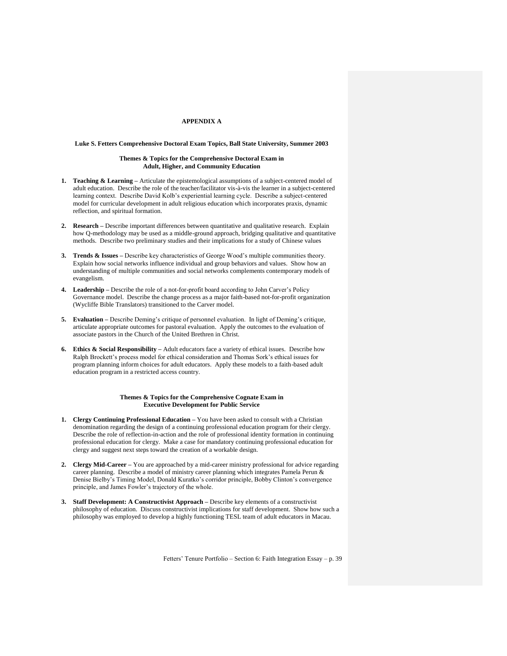# **APPENDIX A**

### **Luke S. Fetters Comprehensive Doctoral Exam Topics, Ball State University, Summer 2003**

## **Themes & Topics for the Comprehensive Doctoral Exam in Adult, Higher, and Community Education**

- **1. Teaching & Learning –** Articulate the epistemological assumptions of a subject-centered model of adult education. Describe the role of the teacher/facilitator vis-à-vis the learner in a subject-centered learning context. Describe David Kolb"s experiential learning cycle. Describe a subject-centered model for curricular development in adult religious education which incorporates praxis, dynamic reflection, and spiritual formation.
- **2. Research –** Describe important differences between quantitative and qualitative research. Explain how Q-methodology may be used as a middle-ground approach, bridging qualitative and quantitative methods. Describe two preliminary studies and their implications for a study of Chinese values
- **3. Trends & Issues –** Describe key characteristics of George Wood"s multiple communities theory. Explain how social networks influence individual and group behaviors and values. Show how an understanding of multiple communities and social networks complements contemporary models of evangelism.
- **4. Leadership –** Describe the role of a not-for-profit board according to John Carver"s Policy Governance model. Describe the change process as a major faith-based not-for-profit organization (Wycliffe Bible Translators) transitioned to the Carver model.
- **5. Evaluation –** Describe Deming"s critique of personnel evaluation. In light of Deming"s critique, articulate appropriate outcomes for pastoral evaluation. Apply the outcomes to the evaluation of associate pastors in the Church of the United Brethren in Christ.
- **6. Ethics & Social Responsibility –** Adult educators face a variety of ethical issues. Describe how Ralph Brockett"s process model for ethical consideration and Thomas Sork"s ethical issues for program planning inform choices for adult educators. Apply these models to a faith-based adult education program in a restricted access country.

### **Themes & Topics for the Comprehensive Cognate Exam in Executive Development for Public Service**

- **1. Clergy Continuing Professional Education –** You have been asked to consult with a Christian denomination regarding the design of a continuing professional education program for their clergy. Describe the role of reflection-in-action and the role of professional identity formation in continuing professional education for clergy. Make a case for mandatory continuing professional education for clergy and suggest next steps toward the creation of a workable design.
- **2. Clergy Mid-Career –** You are approached by a mid-career ministry professional for advice regarding career planning. Describe a model of ministry career planning which integrates Pamela Perun & Denise Bielby"s Timing Model, Donald Kuratko"s corridor principle, Bobby Clinton"s convergence principle, and James Fowler"s trajectory of the whole.
- **3. Staff Development: A Constructivist Approach –** Describe key elements of a constructivist philosophy of education. Discuss constructivist implications for staff development. Show how such a philosophy was employed to develop a highly functioning TESL team of adult educators in Macau.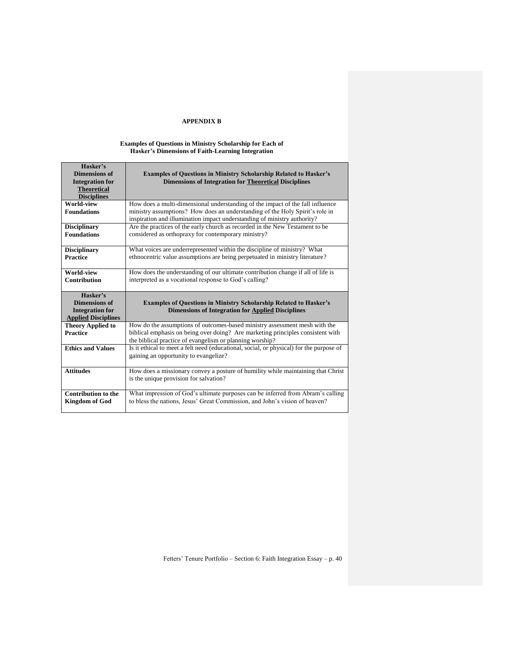# **APPENDIX B**

## **Examples of Questions in Ministry Scholarship for Each of Hasker's Dimensions of Faith-Learning Integration**

| Hasker's<br><b>Dimensions of</b>                    | <b>Examples of Questions in Ministry Scholarship Related to Hasker's</b>                                                                                       |  |
|-----------------------------------------------------|----------------------------------------------------------------------------------------------------------------------------------------------------------------|--|
| <b>Integration for</b>                              | <b>Dimensions of Integration for Theoretical Disciplines</b>                                                                                                   |  |
| <b>Theoretical</b>                                  |                                                                                                                                                                |  |
| <b>Disciplines</b>                                  |                                                                                                                                                                |  |
| World-view                                          | How does a multi-dimensional understanding of the impact of the fall influence                                                                                 |  |
| <b>Foundations</b>                                  | ministry assumptions? How does an understanding of the Holy Spirit's role in                                                                                   |  |
|                                                     | inspiration and illumination impact understanding of ministry authority?                                                                                       |  |
| <b>Disciplinary</b>                                 | Are the practices of the early church as recorded in the New Testament to be                                                                                   |  |
| <b>Foundations</b>                                  | considered as orthopraxy for contemporary ministry?                                                                                                            |  |
|                                                     |                                                                                                                                                                |  |
| <b>Disciplinary</b>                                 | What voices are underrepresented within the discipline of ministry? What                                                                                       |  |
| <b>Practice</b>                                     | ethnocentric value assumptions are being perpetuated in ministry literature?                                                                                   |  |
| World-view                                          |                                                                                                                                                                |  |
| <b>Contribution</b>                                 | How does the understanding of our ultimate contribution change if all of life is<br>interpreted as a vocational response to God's calling?                     |  |
|                                                     |                                                                                                                                                                |  |
|                                                     |                                                                                                                                                                |  |
| Hasker's                                            |                                                                                                                                                                |  |
| <b>Dimensions of</b>                                | <b>Examples of Questions in Ministry Scholarship Related to Hasker's</b>                                                                                       |  |
| <b>Integration for</b>                              | <b>Dimensions of Integration for Applied Disciplines</b>                                                                                                       |  |
| <b>Applied Disciplines</b>                          |                                                                                                                                                                |  |
| <b>Theory Applied to</b>                            | How do the assumptions of outcomes-based ministry assessment mesh with the                                                                                     |  |
| <b>Practice</b>                                     | biblical emphasis on being over doing? Are marketing principles consistent with                                                                                |  |
|                                                     | the biblical practice of evangelism or planning worship?                                                                                                       |  |
| <b>Ethics and Values</b>                            | Is it ethical to meet a felt need (educational, social, or physical) for the purpose of                                                                        |  |
|                                                     | gaining an opportunity to evangelize?                                                                                                                          |  |
|                                                     |                                                                                                                                                                |  |
| <b>Attitudes</b>                                    | How does a missionary convey a posture of humility while maintaining that Christ                                                                               |  |
|                                                     | is the unique provision for salvation?                                                                                                                         |  |
|                                                     |                                                                                                                                                                |  |
| <b>Contribution to the</b><br><b>Kingdom of God</b> | What impression of God's ultimate purposes can be inferred from Abram's calling<br>to bless the nations, Jesus' Great Commission, and John's vision of heaven? |  |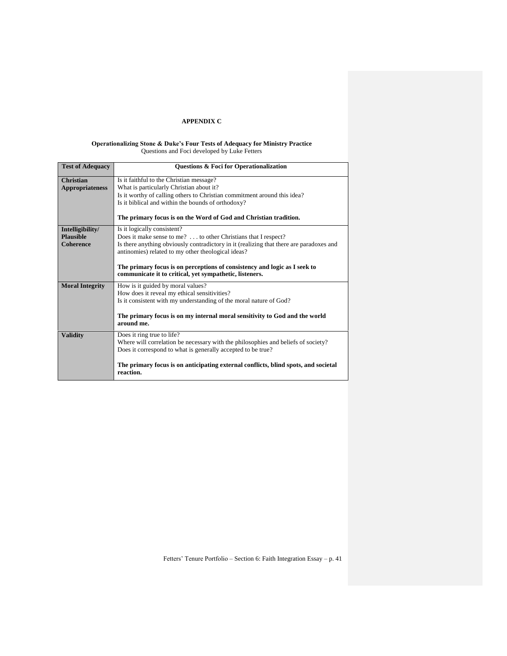# **APPENDIX C**

### **Operationalizing Stone & Duke's Four Tests of Adequacy for Ministry Practice** Questions and Foci developed by Luke Fetters

| Questions & Foci for Operationalization                                                 |
|-----------------------------------------------------------------------------------------|
| Is it faithful to the Christian message?                                                |
| What is particularly Christian about it?                                                |
| Is it worthy of calling others to Christian commitment around this idea?                |
| Is it biblical and within the bounds of orthodoxy?                                      |
|                                                                                         |
| The primary focus is on the Word of God and Christian tradition.                        |
| Is it logically consistent?                                                             |
| Does it make sense to me?  to other Christians that I respect?                          |
| Is there anything obviously contradictory in it (realizing that there are paradoxes and |
| antinomies) related to my other theological ideas?                                      |
|                                                                                         |
| The primary focus is on perceptions of consistency and logic as I seek to               |
| communicate it to critical, yet sympathetic, listeners.                                 |
| How is it guided by moral values?                                                       |
| How does it reveal my ethical sensitivities?                                            |
| Is it consistent with my understanding of the moral nature of God?                      |
|                                                                                         |
| The primary focus is on my internal moral sensitivity to God and the world              |
| around me.                                                                              |
| Does it ring true to life?                                                              |
| Where will correlation be necessary with the philosophies and beliefs of society?       |
| Does it correspond to what is generally accepted to be true?                            |
|                                                                                         |
| The primary focus is on anticipating external conflicts, blind spots, and societal      |
| reaction.                                                                               |
|                                                                                         |